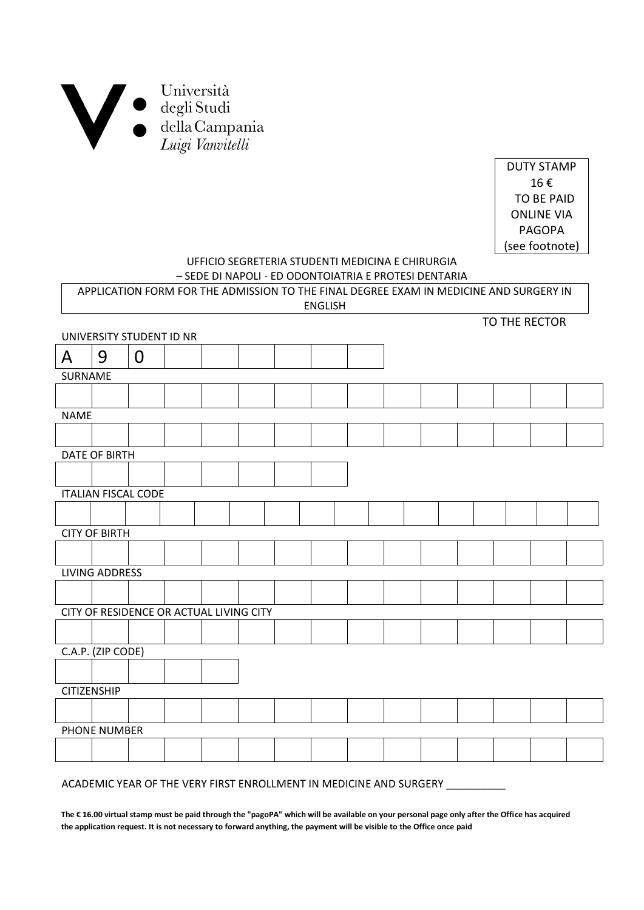

DUTY STAMP 16 € TO BE PAID ONLINE VIA PAGOPA (see footnote)

TO THE RECTOR

# UFFICIO SEGRETERIA STUDENTI MEDICINA E CHIRURGIA

| – SEDE DI NAPOLI - ED ODONTOIATRIA E PROTESI DENTARIA                                  |
|----------------------------------------------------------------------------------------|
| APPLICATION FORM FOR THE ADMISSION TO THE FINAL DEGREE EXAM IN MEDICINE AND SURGERY IN |
| ENGLISH                                                                                |

| UNIVERSITY STUDENT ID NR |                                         |             |  |  |  |  |  |  |  |  |  |  |  |  |  |
|--------------------------|-----------------------------------------|-------------|--|--|--|--|--|--|--|--|--|--|--|--|--|
| $\mathsf{A}$             | 9                                       | $\mathbf 0$ |  |  |  |  |  |  |  |  |  |  |  |  |  |
| SURNAME                  |                                         |             |  |  |  |  |  |  |  |  |  |  |  |  |  |
|                          |                                         |             |  |  |  |  |  |  |  |  |  |  |  |  |  |
| <b>NAME</b>              |                                         |             |  |  |  |  |  |  |  |  |  |  |  |  |  |
|                          |                                         |             |  |  |  |  |  |  |  |  |  |  |  |  |  |
| <b>DATE OF BIRTH</b>     |                                         |             |  |  |  |  |  |  |  |  |  |  |  |  |  |
|                          |                                         |             |  |  |  |  |  |  |  |  |  |  |  |  |  |
|                          | <b>ITALIAN FISCAL CODE</b>              |             |  |  |  |  |  |  |  |  |  |  |  |  |  |
|                          |                                         |             |  |  |  |  |  |  |  |  |  |  |  |  |  |
|                          | <b>CITY OF BIRTH</b>                    |             |  |  |  |  |  |  |  |  |  |  |  |  |  |
|                          |                                         |             |  |  |  |  |  |  |  |  |  |  |  |  |  |
|                          | <b>LIVING ADDRESS</b>                   |             |  |  |  |  |  |  |  |  |  |  |  |  |  |
|                          |                                         |             |  |  |  |  |  |  |  |  |  |  |  |  |  |
|                          | CITY OF RESIDENCE OR ACTUAL LIVING CITY |             |  |  |  |  |  |  |  |  |  |  |  |  |  |
|                          |                                         |             |  |  |  |  |  |  |  |  |  |  |  |  |  |
|                          | C.A.P. (ZIP CODE)                       |             |  |  |  |  |  |  |  |  |  |  |  |  |  |
|                          |                                         |             |  |  |  |  |  |  |  |  |  |  |  |  |  |
| <b>CITIZENSHIP</b>       |                                         |             |  |  |  |  |  |  |  |  |  |  |  |  |  |
|                          |                                         |             |  |  |  |  |  |  |  |  |  |  |  |  |  |
|                          | PHONE NUMBER                            |             |  |  |  |  |  |  |  |  |  |  |  |  |  |
|                          |                                         |             |  |  |  |  |  |  |  |  |  |  |  |  |  |
|                          |                                         |             |  |  |  |  |  |  |  |  |  |  |  |  |  |

#### ACADEMIC YEAR OF THE VERY FIRST ENROLLMENT IN MEDICINE AND SURGERY \_\_\_\_\_\_\_\_\_\_

**The € 16.00 virtual stamp must be paid through the "pagoPA" which will be available on your personal page only after the Office has acquired the application request. It is not necessary to forward anything, the payment will be visible to the Office once paid**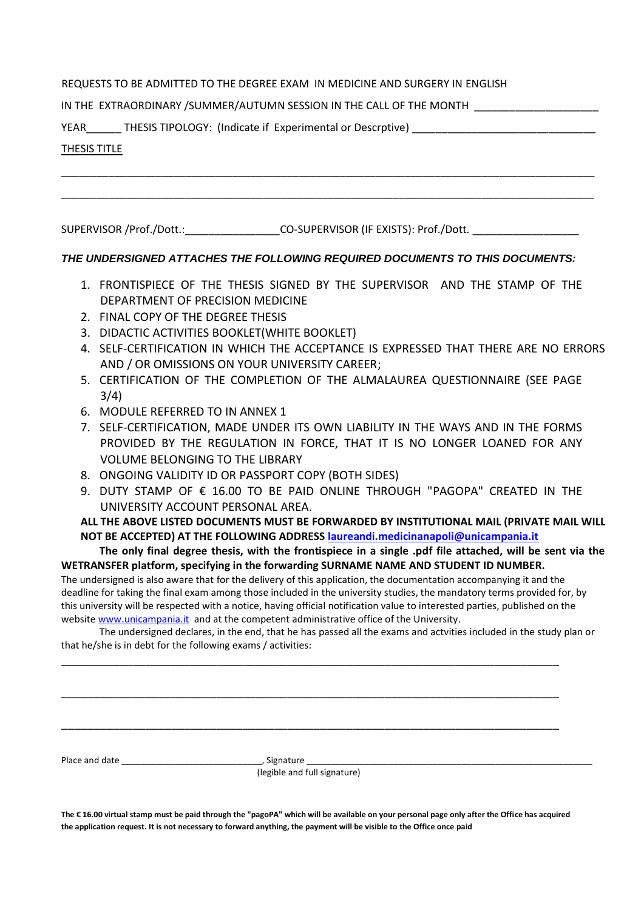#### REQUESTS TO BE ADMITTED TO THE DEGREE EXAM IN MEDICINE AND SURGERY IN ENGLISH

#### IN THE EXTRAORDINARY /SUMMER/AUTUMN SESSION IN THE CALL OF THE MONTH

YEAR THESIS TIPOLOGY: (Indicate if Experimental or Descrptive)

#### THESIS TITLE

SUPERVISOR /Prof./Dott.:\_\_\_\_\_\_\_\_\_\_\_\_\_\_\_\_\_\_\_CO-SUPERVISOR (IF EXISTS): Prof./Dott.

### *THE UNDERSIGNED ATTACHES THE FOLLOWING REQUIRED DOCUMENTS TO THIS DOCUMENTS:*

\_\_\_\_\_\_\_\_\_\_\_\_\_\_\_\_\_\_\_\_\_\_\_\_\_\_\_\_\_\_\_\_\_\_\_\_\_\_\_\_\_\_\_\_\_\_\_\_\_\_\_\_\_\_\_\_\_\_\_\_\_\_\_\_\_\_\_\_\_\_\_\_\_\_\_\_\_\_\_\_\_\_\_\_\_\_\_\_\_\_

\_\_\_\_\_\_\_\_\_\_\_\_\_\_\_\_\_\_\_\_\_\_\_\_\_\_\_\_\_\_\_\_\_\_\_\_\_\_\_\_\_\_\_\_\_\_\_\_\_\_\_\_\_\_\_\_\_\_\_\_\_\_\_\_\_\_\_\_\_\_\_\_\_\_\_\_\_\_\_\_\_\_\_\_\_\_\_\_\_\_

- 1. FRONTISPIECE OF THE THESIS SIGNED BY THE SUPERVISOR AND THE STAMP OF THE DEPARTMENT OF PRECISION MEDICINE
- 2. FINAL COPY OF THE DEGREE THESIS
- 3. DIDACTIC ACTIVITIES BOOKLET(WHITE BOOKLET)
- 4. SELF-CERTIFICATION IN WHICH THE ACCEPTANCE IS EXPRESSED THAT THERE ARE NO ERRORS AND / OR OMISSIONS ON YOUR UNIVERSITY CAREER;
- 5. CERTIFICATION OF THE COMPLETION OF THE ALMALAUREA QUESTIONNAIRE (SEE PAGE 3/4)
- 6. MODULE REFERRED TO IN ANNEX 1
- 7. SELF-CERTIFICATION, MADE UNDER ITS OWN LIABILITY IN THE WAYS AND IN THE FORMS PROVIDED BY THE REGULATION IN FORCE, THAT IT IS NO LONGER LOANED FOR ANY VOLUME BELONGING TO THE LIBRARY
- 8. ONGOING VALIDITY ID OR PASSPORT COPY (BOTH SIDES)
- 9. DUTY STAMP OF € 16.00 TO BE PAID ONLINE THROUGH "PAGOPA" CREATED IN THE UNIVERSITY ACCOUNT PERSONAL AREA.

## **ALL THE ABOVE LISTED DOCUMENTS MUST BE FORWARDED BY INSTITUTIONAL MAIL (PRIVATE MAIL WILL NOT BE ACCEPTED) AT THE FOLLOWING ADDRESS [laureandi.medicinanapoli@unicampania.it](mailto:laureandi.medicinanapoli@unicampania.it)**

**The only final degree thesis, with the frontispiece in a single .pdf file attached, will be sent via the WETRANSFER platform, specifying in the forwarding SURNAME NAME AND STUDENT ID NUMBER.**

The undersigned is also aware that for the delivery of this application, the documentation accompanying it and the deadline for taking the final exam among those included in the university studies, the mandatory terms provided for, by this university will be respected with a notice, having official notification value to interested parties, published on the website [www.unicampania.it](http://www.unicampania.it/) and at the competent administrative office of the University.

The undersigned declares, in the end, that he has passed all the exams and actvities included in the study plan or that he/she is in debt for the following exams / activities:

\_\_\_\_\_\_\_\_\_\_\_\_\_\_\_\_\_\_\_\_\_\_\_\_\_\_\_\_\_\_\_\_\_\_\_\_\_\_\_\_\_\_\_\_\_\_\_\_\_\_\_\_\_\_\_\_\_\_\_\_\_\_\_\_\_\_\_\_\_\_\_\_\_\_\_\_\_

\_\_\_\_\_\_\_\_\_\_\_\_\_\_\_\_\_\_\_\_\_\_\_\_\_\_\_\_\_\_\_\_\_\_\_\_\_\_\_\_\_\_\_\_\_\_\_\_\_\_\_\_\_\_\_\_\_\_\_\_\_\_\_\_\_\_\_\_\_\_\_\_\_\_\_\_\_

\_\_\_\_\_\_\_\_\_\_\_\_\_\_\_\_\_\_\_\_\_\_\_\_\_\_\_\_\_\_\_\_\_\_\_\_\_\_\_\_\_\_\_\_\_\_\_\_\_\_\_\_\_\_\_\_\_\_\_\_\_\_\_\_\_\_\_\_\_\_\_\_\_\_\_\_\_

Place and date \_\_\_\_\_\_\_\_\_\_\_\_\_\_\_\_\_\_\_\_\_\_\_\_\_\_\_\_\_, Signature \_\_\_\_\_\_\_\_\_\_\_\_\_\_\_\_\_\_\_\_\_\_\_\_\_\_\_\_\_\_\_\_\_\_\_\_\_\_\_\_\_\_\_\_\_\_\_\_\_\_\_\_\_\_\_\_\_\_\_

(legible and full signature)

**The € 16.00 virtual stamp must be paid through the "pagoPA" which will be available on your personal page only after the Office has acquired the application request. It is not necessary to forward anything, the payment will be visible to the Office once paid**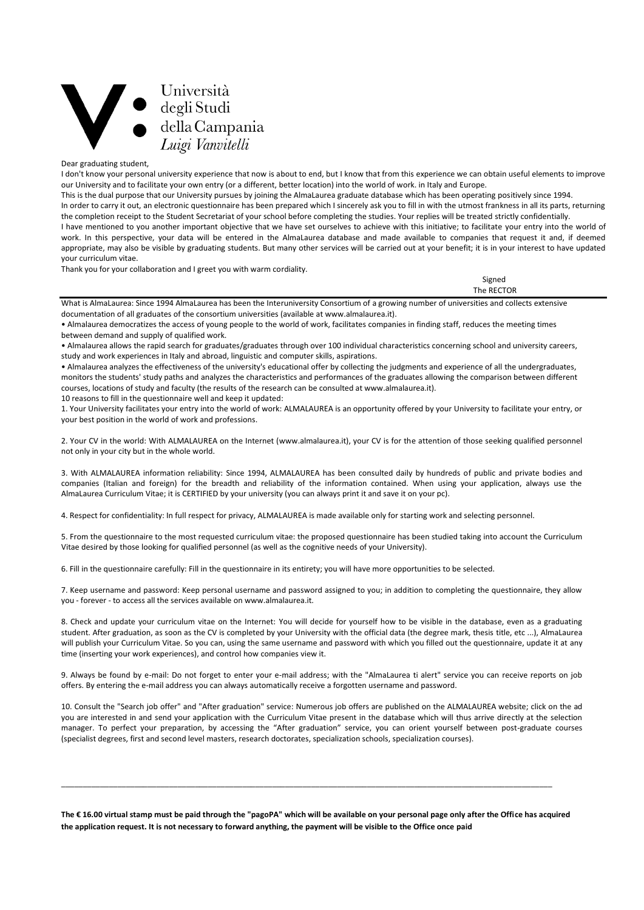# Università degli Studi della Campania Luigi Vanvitelli

Dear graduating student,

I don't know your personal university experience that now is about to end, but I know that from this experience we can obtain useful elements to improve our University and to facilitate your own entry (or a different, better location) into the world of work. in Italy and Europe.

This is the dual purpose that our University pursues by joining the AlmaLaurea graduate database which has been operating positively since 1994.

In order to carry it out, an electronic questionnaire has been prepared which I sincerely ask you to fill in with the utmost frankness in all its parts, returning the completion receipt to the Student Secretariat of your school before completing the studies. Your replies will be treated strictly confidentially.

I have mentioned to you another important objective that we have set ourselves to achieve with this initiative; to facilitate your entry into the world of work. In this perspective, your data will be entered in the AlmaLaurea database and made available to companies that request it and, if deemed appropriate, may also be visible by graduating students. But many other services will be carried out at your benefit; it is in your interest to have updated your curriculum vitae.

Thank you for your collaboration and I greet you with warm cordiality.

| Signed     |  |
|------------|--|
| The RECTOR |  |

What is AlmaLaurea: Since 1994 AlmaLaurea has been the Interuniversity Consortium of a growing number of universities and collects extensive documentation of all graduates of the consortium universities (available at www.almalaurea.it).

• Almalaurea democratizes the access of young people to the world of work, facilitates companies in finding staff, reduces the meeting times between demand and supply of qualified work.

• Almalaurea allows the rapid search for graduates/graduates through over 100 individual characteristics concerning school and university careers, study and work experiences in Italy and abroad, linguistic and computer skills, aspirations.

• Almalaurea analyzes the effectiveness of the university's educational offer by collecting the judgments and experience of all the undergraduates, monitors the students' study paths and analyzes the characteristics and performances of the graduates allowing the comparison between different courses, locations of study and faculty (the results of the research can be consulted at www.almalaurea.it).

10 reasons to fill in the questionnaire well and keep it updated:

1. Your University facilitates your entry into the world of work: ALMALAUREA is an opportunity offered by your University to facilitate your entry, or your best position in the world of work and professions.

2. Your CV in the world: With ALMALAUREA on the Internet (www.almalaurea.it), your CV is for the attention of those seeking qualified personnel not only in your city but in the whole world.

3. With ALMALAUREA information reliability: Since 1994, ALMALAUREA has been consulted daily by hundreds of public and private bodies and companies (Italian and foreign) for the breadth and reliability of the information contained. When using your application, always use the AlmaLaurea Curriculum Vitae; it is CERTIFIED by your university (you can always print it and save it on your pc).

4. Respect for confidentiality: In full respect for privacy, ALMALAUREA is made available only for starting work and selecting personnel.

5. From the questionnaire to the most requested curriculum vitae: the proposed questionnaire has been studied taking into account the Curriculum Vitae desired by those looking for qualified personnel (as well as the cognitive needs of your University).

6. Fill in the questionnaire carefully: Fill in the questionnaire in its entirety; you will have more opportunities to be selected.

7. Keep username and password: Keep personal username and password assigned to you; in addition to completing the questionnaire, they allow you - forever - to access all the services available on www.almalaurea.it.

8. Check and update your curriculum vitae on the Internet: You will decide for yourself how to be visible in the database, even as a graduating student. After graduation, as soon as the CV is completed by your University with the official data (the degree mark, thesis title, etc ...), AlmaLaurea will publish your Curriculum Vitae. So you can, using the same username and password with which you filled out the questionnaire, update it at any time (inserting your work experiences), and control how companies view it.

9. Always be found by e-mail: Do not forget to enter your e-mail address; with the "AlmaLaurea ti alert" service you can receive reports on job offers. By entering the e-mail address you can always automatically receive a forgotten username and password.

10. Consult the "Search job offer" and "After graduation" service: Numerous job offers are published on the ALMALAUREA website; click on the ad you are interested in and send your application with the Curriculum Vitae present in the database which will thus arrive directly at the selection manager. To perfect your preparation, by accessing the "After graduation" service, you can orient yourself between post-graduate courses (specialist degrees, first and second level masters, research doctorates, specialization schools, specialization courses).

**The € 16.00 virtual stamp must be paid through the "pagoPA" which will be available on your personal page only after the Office has acquired the application request. It is not necessary to forward anything, the payment will be visible to the Office once paid**

\_\_\_\_\_\_\_\_\_\_\_\_\_\_\_\_\_\_\_\_\_\_\_\_\_\_\_\_\_\_\_\_\_\_\_\_\_\_\_\_\_\_\_\_\_\_\_\_\_\_\_\_\_\_\_\_\_\_\_\_\_\_\_\_\_\_\_\_\_\_\_\_\_\_\_\_\_\_\_\_\_\_\_\_\_\_\_\_\_\_\_\_\_\_\_\_\_\_\_\_\_\_\_\_\_\_\_\_\_\_\_\_\_\_